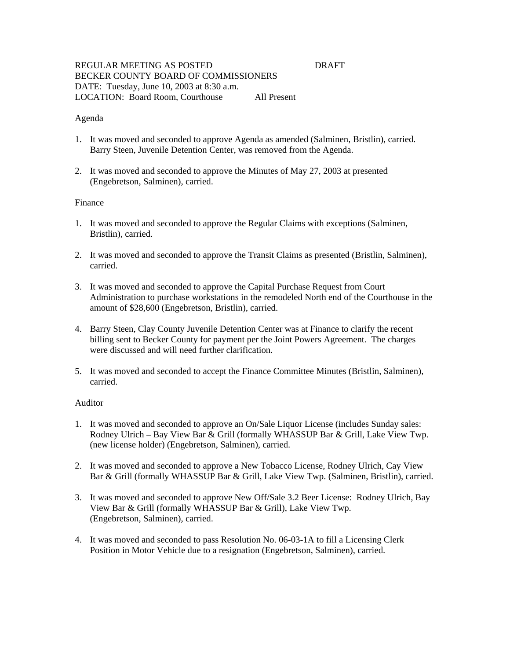### REGULAR MEETING AS POSTED DRAFT BECKER COUNTY BOARD OF COMMISSIONERS DATE: Tuesday, June 10, 2003 at 8:30 a.m. LOCATION: Board Room, Courthouse All Present

### Agenda

- 1. It was moved and seconded to approve Agenda as amended (Salminen, Bristlin), carried. Barry Steen, Juvenile Detention Center, was removed from the Agenda.
- 2. It was moved and seconded to approve the Minutes of May 27, 2003 at presented (Engebretson, Salminen), carried.

### Finance

- 1. It was moved and seconded to approve the Regular Claims with exceptions (Salminen, Bristlin), carried.
- 2. It was moved and seconded to approve the Transit Claims as presented (Bristlin, Salminen), carried.
- 3. It was moved and seconded to approve the Capital Purchase Request from Court Administration to purchase workstations in the remodeled North end of the Courthouse in the amount of \$28,600 (Engebretson, Bristlin), carried.
- 4. Barry Steen, Clay County Juvenile Detention Center was at Finance to clarify the recent billing sent to Becker County for payment per the Joint Powers Agreement. The charges were discussed and will need further clarification.
- 5. It was moved and seconded to accept the Finance Committee Minutes (Bristlin, Salminen), carried.

#### Auditor

- 1. It was moved and seconded to approve an On/Sale Liquor License (includes Sunday sales: Rodney Ulrich – Bay View Bar & Grill (formally WHASSUP Bar & Grill, Lake View Twp. (new license holder) (Engebretson, Salminen), carried.
- 2. It was moved and seconded to approve a New Tobacco License, Rodney Ulrich, Cay View Bar & Grill (formally WHASSUP Bar & Grill, Lake View Twp. (Salminen, Bristlin), carried.
- 3. It was moved and seconded to approve New Off/Sale 3.2 Beer License: Rodney Ulrich, Bay View Bar & Grill (formally WHASSUP Bar & Grill), Lake View Twp. (Engebretson, Salminen), carried.
- 4. It was moved and seconded to pass Resolution No. 06-03-1A to fill a Licensing Clerk Position in Motor Vehicle due to a resignation (Engebretson, Salminen), carried.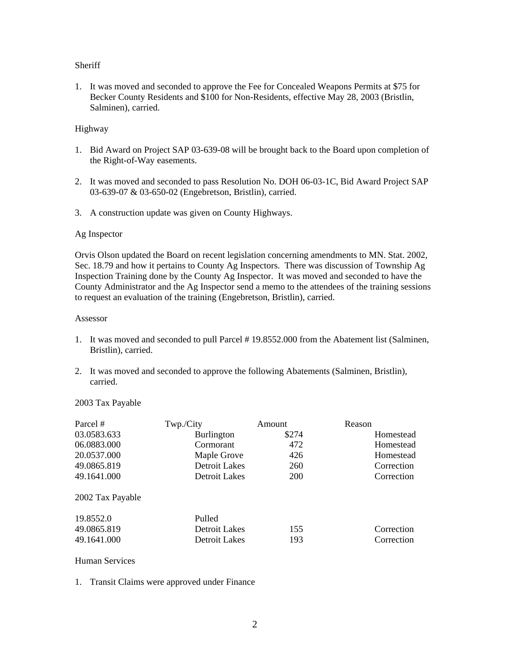# **Sheriff**

1. It was moved and seconded to approve the Fee for Concealed Weapons Permits at \$75 for Becker County Residents and \$100 for Non-Residents, effective May 28, 2003 (Bristlin, Salminen), carried.

# Highway

- 1. Bid Award on Project SAP 03-639-08 will be brought back to the Board upon completion of the Right-of-Way easements.
- 2. It was moved and seconded to pass Resolution No. DOH 06-03-1C, Bid Award Project SAP 03-639-07 & 03-650-02 (Engebretson, Bristlin), carried.
- 3. A construction update was given on County Highways.

# Ag Inspector

Orvis Olson updated the Board on recent legislation concerning amendments to MN. Stat. 2002, Sec. 18.79 and how it pertains to County Ag Inspectors. There was discussion of Township Ag Inspection Training done by the County Ag Inspector. It was moved and seconded to have the County Administrator and the Ag Inspector send a memo to the attendees of the training sessions to request an evaluation of the training (Engebretson, Bristlin), carried.

### Assessor

- 1. It was moved and seconded to pull Parcel # 19.8552.000 from the Abatement list (Salminen, Bristlin), carried.
- 2. It was moved and seconded to approve the following Abatements (Salminen, Bristlin), carried.

# 2003 Tax Payable

| Parcel #         | Twp./City         | Amount     | Reason     |
|------------------|-------------------|------------|------------|
| 03.0583.633      | <b>Burlington</b> | \$274      | Homestead  |
| 06.0883.000      | Cormorant         | 472        | Homestead  |
| 20.0537.000      | Maple Grove       | 426        | Homestead  |
| 49.0865.819      | Detroit Lakes     | 260        | Correction |
| 49.1641.000      | Detroit Lakes     | <b>200</b> | Correction |
| 2002 Tax Payable |                   |            |            |
| 19.8552.0        | Pulled            |            |            |
| 49.0865.819      | Detroit Lakes     | 155        | Correction |
| 49.1641.000      | Detroit Lakes     | 193        | Correction |

# Human Services

1. Transit Claims were approved under Finance